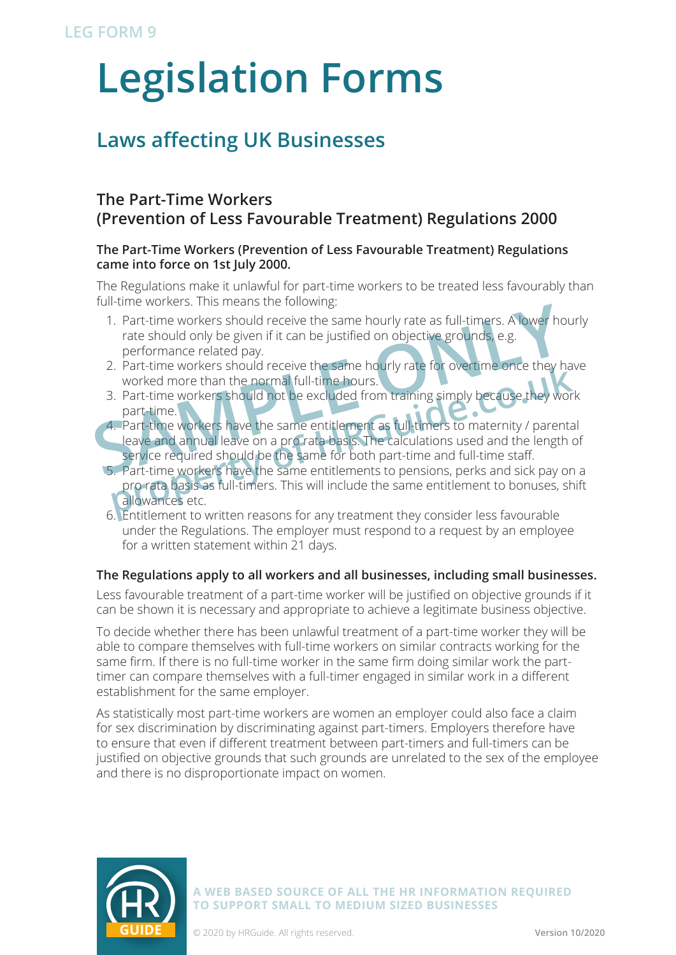# **Legislation Forms**

## **Laws affecting UK Businesses**

### **The Part-Time Workers (Prevention of Less Favourable Treatment) Regulations 2000**

#### **The Part-Time Workers (Prevention of Less Favourable Treatment) Regulations came into force on 1st July 2000.**

The Regulations make it unlawful for part-time workers to be treated less favourably than full-time workers. This means the following:

- 1. Part-time workers should receive the same hourly rate as full-timers. A lower hourly rate should only be given if it can be justified on objective grounds, e.g. performance related pay.
- 2. Part-time workers should receive the same hourly rate for overtime once they have worked more than the normal full-time hours.
- 3. Part-time workers should not be excluded from training simply because they part-time.
- 4. Part-time workers have the same entitlement as full-timers to maternity / parental leave and annual leave on a pro rata basis. The calculations used and the length of service required should be the same for both part-time and full-time staff. 1. Part-time workers should receive the same hourly rate as full-timers. A lower hourd only be given if it can be justified on objective grounds, e.g. performance related pay.<br>
2. Part-time workers should receive the same
	- 5. Part-time workers have the same entitlements to pensions, perks and sick pay on a pro rata basis as full-timers. This will include the same entitlement to bonuses, shift allowances etc. Part-time workers should receive the same hourly rate for overtime once they had<br>worked more than the normal full-time hours.<br> **propertion**<br> **propertion**<br> **propertion**<br> **propertion**<br> **propertion**<br> **propertion**<br> **properties**
	- 6. Entitlement to written reasons for any treatment they consider less favourable under the Regulations. The employer must respond to a request by an employee for a written statement within 21 days.

#### **The Regulations apply to all workers and all businesses, including small businesses.**

Less favourable treatment of a part-time worker will be justified on objective grounds if it can be shown it is necessary and appropriate to achieve a legitimate business objective.

To decide whether there has been unlawful treatment of a part-time worker they will be able to compare themselves with full-time workers on similar contracts working for the same firm. If there is no full-time worker in the same firm doing similar work the parttimer can compare themselves with a full-timer engaged in similar work in a different establishment for the same employer.

As statistically most part-time workers are women an employer could also face a claim for sex discrimination by discriminating against part-timers. Employers therefore have to ensure that even if different treatment between part-timers and full-timers can be justified on objective grounds that such grounds are unrelated to the sex of the employee and there is no disproportionate impact on women.



**A WEB BASED SOURCE OF ALL THE HR INFORMATION REQUIRED TO SUPPORT SMALL TO MEDIUM SIZED BUSINESSES**